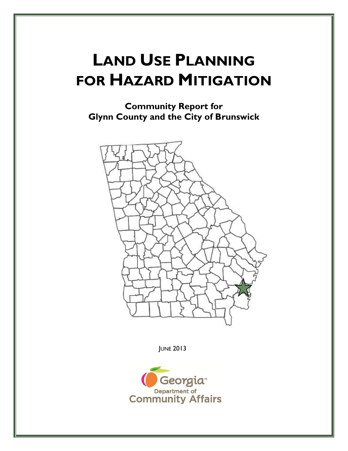# **LAND USE PLANNING FOR HAZARD MITIGATION**

**Community Report for Glynn County and the City of Brunswick**



JUNE 2013

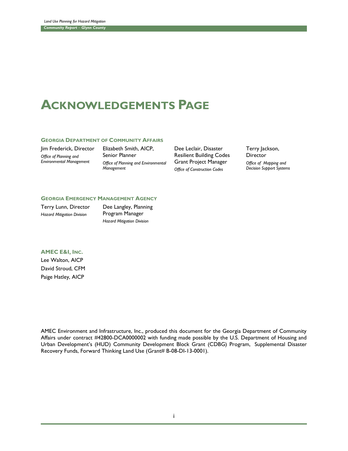# **ACKNOWLEDGEMENTS PAGE**

#### **GEORGIA DEPARTMENT OF COMMUNITY AFFAIRS**

Jim Frederick, Director *Office of Planning and Environmental Management*

Elizabeth Smith, AICP, Senior Planner *Office of Planning and Environmental Management*

Dee Leclair, Disaster Resilient Building Codes Grant Project Manager *Office of Construction Codes*

Terry Jackson, **Director** *Office of Mapping and Decision Support Systems*

#### **GEORGIA EMERGENCY MANAGEMENT AGENCY**

Terry Lunn, Director *Hazard Mitigation Division*

Dee Langley, Planning Program Manager *Hazard Mitigation Division*

#### **AMEC E&I, INC.**

Lee Walton, AICP David Stroud, CFM Paige Hatley, AICP

AMEC Environment and Infrastructure, Inc., produced this document for the Georgia Department of Community Affairs under contract #42800-DCA0000002 with funding made possible by the U.S. Department of Housing and Urban Development's (HUD) Community Development Block Grant (CDBG) Program, Supplemental Disaster Recovery Funds, Forward Thinking Land Use (Grant# B-08-DI-13-0001).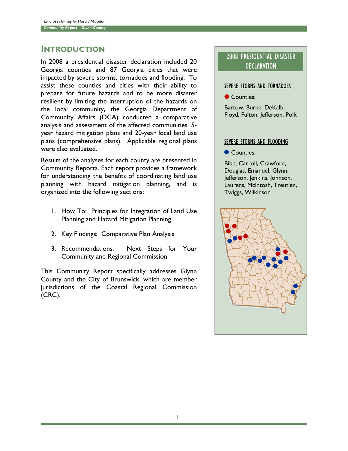# INTRODUCTION

In 2008 a presidential disaster declaration included 20 Georgia counties and 87 Georgia cities that were impacted by severe storms, tornadoes and flooding. To assist these counties and cities with their ability to prepare for future hazards and to be more disaster resilient by limiting the interruption of the hazards on the local community, the Georgia Department of Community Affairs (DCA) conducted a comparative analysis and assessment of the affected communities' 5 year hazard mitigation plans and 20-year local land use plans (comprehensive plans). Applicable regional plans were also evaluated.

Results of the analyses for each county are presented in Community Reports. Each report provides a framework for understanding the benefits of coordinating land use planning with hazard mitigation planning, and is organized into the following sections:

- 1. How To: Principles for Integration of Land Use Planning and Hazard Mitigation Planning
- 2. Key Findings: Comparative Plan Analysis
- 3. Recommendations: Next Steps for Your Community and Regional Commission

This Community Report specifically addresses Glynn County and the City of Brunswick, which are member jurisdictions of the Coastal Regional Commission (CRC).

# 2008 PRESIDENTIAL DISASTER **DECLARATION**

#### SEVERE STORMS AND TORNADOES

Counties:

Bartow, Burke, DeKalb, Floyd, Fulton, Jefferson, Polk

#### SEVERE STORMS AND FLOODING

Counties:

Bibb, Carroll, Crawford, Douglas, Emanuel, Glynn, Jefferson, Jenkins, Johnson, Laurens, McIntosh, Treutlen, Twiggs, Wilkinson

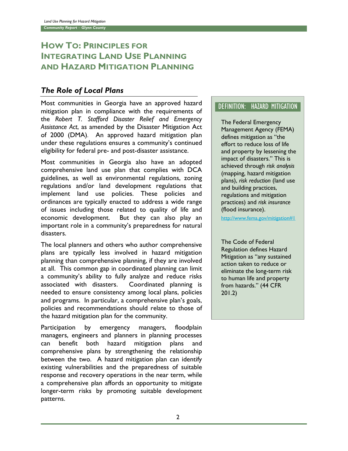# **HOW TO: PRINCIPLES FOR INTEGRATING LAND USE PLANNING AND HAZARD MITIGATION PLANNING**

# *The Role of Local Plans*

Most communities in Georgia have an approved hazard mitigation plan in compliance with the requirements of the *Robert T. Stafford Disaster Relief and Emergency Assistance Act*, as amended by the Disaster Mitigation Act of 2000 (DMA). An approved hazard mitigation plan under these regulations ensures a community's continued eligibility for federal pre- and post-disaster assistance.

Most communities in Georgia also have an adopted comprehensive land use plan that complies with DCA guidelines, as well as environmental regulations, zoning regulations and/or land development regulations that implement land use policies. These policies and ordinances are typically enacted to address a wide range of issues including those related to quality of life and economic development. But they can also play an important role in a community's preparedness for natural disasters.

The local planners and others who author comprehensive plans are typically less involved in hazard mitigation planning than comprehensive planning, if they are involved at all. This common gap in coordinated planning can limit a community's ability to fully analyze and reduce risks associated with disasters. Coordinated planning is needed to ensure consistency among local plans, policies and programs. In particular, a comprehensive plan's goals, policies and recommendations should relate to those of the hazard mitigation plan for the community.

Participation by emergency managers, floodplain managers, engineers and planners in planning processes can benefit both hazard mitigation plans and comprehensive plans by strengthening the relationship between the two. A hazard mitigation plan can identify existing vulnerabilities and the preparedness of suitable response and recovery operations in the near term, while a comprehensive plan affords an opportunity to mitigate longer-term risks by promoting suitable development patterns.

## DEFINITION: HAZARD MITIGATION

The Federal Emergency Management Agency (FEMA) defines mitigation as "the effort to reduce loss of life and property by lessening the impact of disasters." This is achieved through *risk analysis*  (mapping, hazard mitigation plans), *risk reduction* (land use and building practices, regulations and mitigation practices) and *risk insurance*  (flood insurance).

<http://www.fema.gov/mitigation#1>

The Code of Federal Regulation defines Hazard Mitigation as "any sustained action taken to reduce or eliminate the long-term risk to human life and property from hazards." (44 CFR 201.2)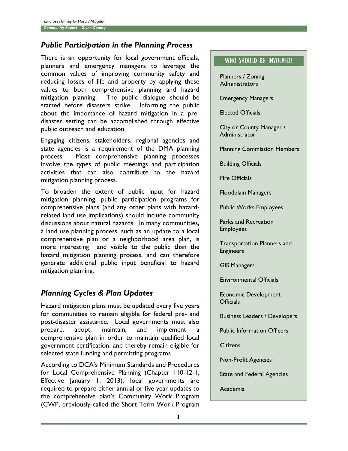# *Public Participation in the Planning Process*

There is an opportunity for local government officials, planners and emergency managers to leverage the common values of improving community safety and reducing losses of life and property by applying these values to both comprehensive planning and hazard mitigation planning. The public dialogue should be started before disasters strike. Informing the public about the importance of hazard mitigation in a predisaster setting can be accomplished through effective public outreach and education.

Engaging citizens, stakeholders, regional agencies and state agencies is a requirement of the DMA planning process. Most comprehensive planning processes involve the types of public meetings and participation activities that can also contribute to the hazard mitigation planning process.

To broaden the extent of public input for hazard mitigation planning, public participation programs for comprehensive plans (and any other plans with hazardrelated land use implications) should include community discussions about natural hazards. In many communities, a land use planning process, such as an update to a local comprehensive plan or a neighborhood area plan, is more interesting and visible to the public than the hazard mitigation planning process, and can therefore generate additional public input beneficial to hazard mitigation planning.

# *Planning Cycles & Plan Updates*

Hazard mitigation plans must be updated every five years for communities to remain eligible for federal pre- and post-disaster assistance. Local governments must also prepare, adopt, maintain, and implement a comprehensive plan in order to maintain qualified local government certification, and thereby remain eligible for selected state funding and permitting programs.

According to DCA's Minimum Standards and Procedures for Local Comprehensive Planning (Chapter 110-12-1, Effective January 1, 2013), local governments are required to prepare either annual or five year updates to the comprehensive plan's Community Work Program (CWP, previously called the Short-Term Work Program

## WHO SHOULD BE INVOLVED?

Planners / Zoning Administrators

Emergency Managers

Elected Officials

City or County Manager / Administrator

Planning Commission Members

Building Officials

Fire Officials

Floodplain Managers

Public Works Employees

Parks and Recreation Employees

Transportation Planners and Engineers

GIS Managers

Environmental Officials

Economic Development **Officials** 

Business Leaders / Developers

Public Information Officers

**Citizens** 

Non-Profit Agencies

State and Federal Agencies

Academia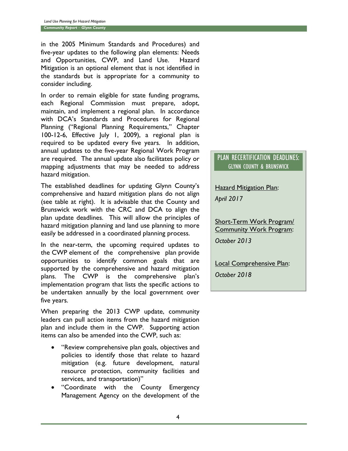in the 2005 Minimum Standards and Procedures) and five-year updates to the following plan elements: Needs and Opportunities, CWP, and Land Use. Hazard Mitigation is an optional element that is not identified in the standards but is appropriate for a community to consider including.

In order to remain eligible for state funding programs, each Regional Commission must prepare, adopt, maintain, and implement a regional plan. In accordance with DCA's Standards and Procedures for Regional Planning ("Regional Planning Requirements," Chapter 100-12-6, Effective July 1, 2009), a regional plan is required to be updated every five years. In addition, annual updates to the five-year Regional Work Program are required. The annual update also facilitates policy or mapping adjustments that may be needed to address hazard mitigation.

The established deadlines for updating Glynn County's comprehensive and hazard mitigation plans do not align (see table at right). It is advisable that the County and Brunswick work with the CRC and DCA to align the plan update deadlines. This will allow the principles of hazard mitigation planning and land use planning to more easily be addressed in a coordinated planning process.

In the near-term, the upcoming required updates to the CWP element of the comprehensive plan provide opportunities to identify common goals that are supported by the comprehensive and hazard mitigation plans. The CWP is the comprehensive plan's implementation program that lists the specific actions to be undertaken annually by the local government over five years.

When preparing the 2013 CWP update, community leaders can pull action items from the hazard mitigation plan and include them in the CWP. Supporting action items can also be amended into the CWP, such as:

- "Review comprehensive plan goals, objectives and policies to identify those that relate to hazard mitigation (e.g. future development, natural resource protection, community facilities and services, and transportation)"
- "Coordinate with the County Emergency Management Agency on the development of the

#### PLAN RECERTIFICATION DEADLINES: GLYNN COUNTY & BRUNSWICK

**Hazard Mitigation Plan:** 

*April 2017*

Short-Term Work Program/ Community Work Program: *October 2013*

Local Comprehensive Plan:

*October 2018*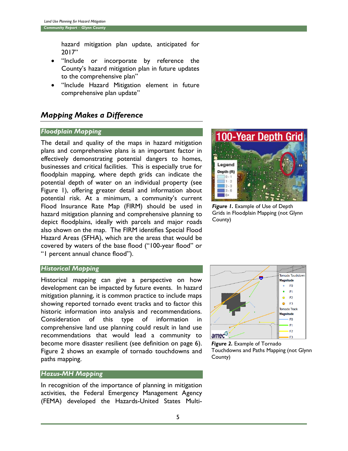hazard mitigation plan update, anticipated for 2017"

- "Include or incorporate by reference the County's hazard mitigation plan in future updates to the comprehensive plan"
- "Include Hazard Mitigation element in future comprehensive plan update"

# *Mapping Makes a Difference*

#### *Floodplain Mapping*

The detail and quality of the maps in hazard mitigation plans and comprehensive plans is an important factor in effectively demonstrating potential dangers to homes, businesses and critical facilities. This is especially true for floodplain mapping, where depth grids can indicate the potential depth of water on an individual property (see Figure 1), offering greater detail and information about potential risk. At a minimum, a community's current Flood Insurance Rate Map (FIRM) should be used in hazard mitigation planning and comprehensive planning to depict floodplains, ideally with parcels and major roads also shown on the map. The FIRM identifies Special Flood Hazard Areas (SFHA), which are the areas that would be covered by waters of the base flood ("100-year flood" or "1 percent annual chance flood").



*Figure 1.* Example of Use of Depth Grids in Floodplain Mapping (not Glynn County)

#### *Historical Mapping*

Historical mapping can give a perspective on how development can be impacted by future events. In hazard mitigation planning, it is common practice to include maps showing reported tornado event tracks and to factor this historic information into analysis and recommendations. Consideration of this type of information in comprehensive land use planning could result in land use recommendations that would lead a community to become more disaster resilient (see definition on page 6). Figure 2 shows an example of tornado touchdowns and paths mapping.

#### *Hazus-MH Mapping*

In recognition of the importance of planning in mitigation activities, the Federal Emergency Management Agency (FEMA) developed the Hazards-United States Multi-



*Figure 2.* Example of Tornado Touchdowns and Paths Mapping (not Glynn County)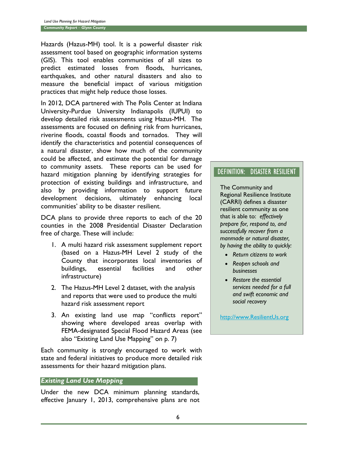Hazards (Hazus-MH) tool. It is a powerful disaster risk assessment tool based on geographic information systems (GIS). This tool enables communities of all sizes to predict estimated losses from floods, hurricanes, earthquakes, and other natural disasters and also to measure the beneficial impact of various mitigation practices that might help reduce those losses.

In 2012, DCA partnered with The Polis Center at Indiana University-Purdue University Indianapolis (IUPUI) to develop detailed risk assessments using Hazus-MH. The assessments are focused on defining risk from hurricanes, riverine floods, coastal floods and tornados. They will identify the characteristics and potential consequences of a natural disaster, show how much of the community could be affected, and estimate the potential for damage to community assets. These reports can be used for hazard mitigation planning by identifying strategies for protection of existing buildings and infrastructure, and also by providing information to support future development decisions, ultimately enhancing local communities' ability to be disaster resilient.

DCA plans to provide three reports to each of the 20 counties in the 2008 Presidential Disaster Declaration free of charge. These will include:

- 1. A multi hazard risk assessment supplement report (based on a Hazus-MH Level 2 study of the County that incorporates local inventories of buildings, essential facilities and other infrastructure)
- 2. The Hazus-MH Level 2 dataset, with the analysis and reports that were used to produce the multi hazard risk assessment report
- 3. An existing land use map "conflicts report" showing where developed areas overlap with FEMA-designated Special Flood Hazard Areas (see also "Existing Land Use Mapping" on p. 7)

Each community is strongly encouraged to work with state and federal initiatives to produce more detailed risk assessments for their hazard mitigation plans.

#### *Existing Land Use Mapping*

Under the new DCA minimum planning standards, effective January 1, 2013, comprehensive plans are not

## DEFINITION: DISASTER RESILIENT

The Community and Regional Resilience Institute (CARRI) defines a disaster resilient community as one that is able to: *effectively prepare for, respond to, and successfully recover from a manmade or natural disaster, by having the ability to quickly:*

- *Return citizens to work*
- *Reopen schools and businesses*
- *Restore the essential services needed for a full and swift economic and social recovery*

[http://www.ResilientUs.org](http://www.resilientus.org/)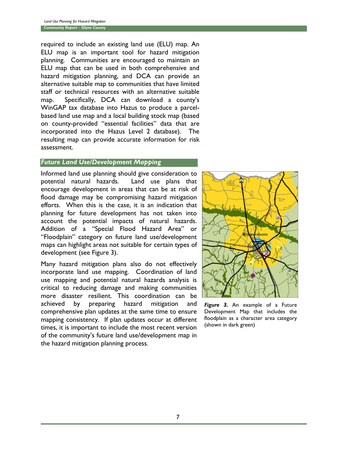required to include an existing land use (ELU) map. An ELU map is an important tool for hazard mitigation planning. Communities are encouraged to maintain an ELU map that can be used in both comprehensive and hazard mitigation planning, and DCA can provide an alternative suitable map to communities that have limited staff or technical resources with an alternative suitable map. Specifically, DCA can download a county's WinGAP tax database into Hazus to produce a parcelbased land use map and a local building stock map (based on county-provided "essential facilities" data that are incorporated into the Hazus Level 2 database). The resulting map can provide accurate information for risk assessment.

#### *Future Land Use/Development Mapping*

Informed land use planning should give consideration to potential natural hazards. Land use plans that encourage development in areas that can be at risk of flood damage may be compromising hazard mitigation efforts. When this is the case, it is an indication that planning for future development has not taken into account the potential impacts of natural hazards. Addition of a "Special Flood Hazard Area" or "Floodplain" category on future land use/development maps can highlight areas not suitable for certain types of development (see Figure 3).

Many hazard mitigation plans also do not effectively incorporate land use mapping. Coordination of land use mapping and potential natural hazards analysis is critical to reducing damage and making communities more disaster resilient. This coordination can be achieved by preparing hazard mitigation and comprehensive plan updates at the same time to ensure mapping consistency. If plan updates occur at different times, it is important to include the most recent version of the community's future land use/development map in the hazard mitigation planning process.



*Figure 3.* An example of a Future Development Map that includes the floodplain as a character area category (shown in dark green)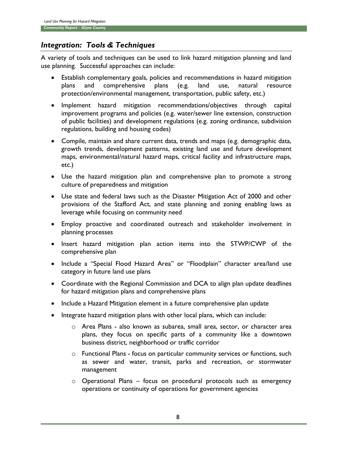# *Integration: Tools & Techniques*

A variety of tools and techniques can be used to link hazard mitigation planning and land use planning. Successful approaches can include:

- Establish complementary goals, policies and recommendations in hazard mitigation plans and comprehensive plans (e.g. land use, natural resource protection/environmental management, transportation, public safety, etc.)
- Implement hazard mitigation recommendations/objectives through capital improvement programs and policies (e.g. water/sewer line extension, construction of public facilities) and development regulations (e.g. zoning ordinance, subdivision regulations, building and housing codes)
- Compile, maintain and share current data, trends and maps (e.g. demographic data, growth trends, development patterns, existing land use and future development maps, environmental/natural hazard maps, critical facility and infrastructure maps, etc.)
- Use the hazard mitigation plan and comprehensive plan to promote a strong culture of preparedness and mitigation
- Use state and federal laws such as the Disaster Mitigation Act of 2000 and other provisions of the Stafford Act, and state planning and zoning enabling laws as leverage while focusing on community need
- Employ proactive and coordinated outreach and stakeholder involvement in planning processes
- Insert hazard mitigation plan action items into the STWP/CWP of the comprehensive plan
- Include a "Special Flood Hazard Area" or "Floodplain" character area/land use category in future land use plans
- Coordinate with the Regional Commission and DCA to align plan update deadlines for hazard mitigation plans and comprehensive plans
- Include a Hazard Mitigation element in a future comprehensive plan update
- Integrate hazard mitigation plans with other local plans, which can include:
	- o Area Plans also known as subarea, small area, sector, or character area plans, they focus on specific parts of a community like a downtown business district, neighborhood or traffic corridor
	- o Functional Plans focus on particular community services or functions, such as sewer and water, transit, parks and recreation, or stormwater management
	- o Operational Plans focus on procedural protocols such as emergency operations or continuity of operations for government agencies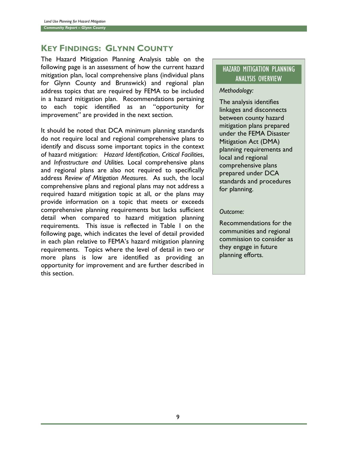# **KEY FINDINGS: GLYNN COUNTY**

The Hazard Mitigation Planning Analysis table on the following page is an assessment of how the current hazard mitigation plan, local comprehensive plans (individual plans for Glynn County and Brunswick) and regional plan address topics that are required by FEMA to be included in a hazard mitigation plan. Recommendations pertaining to each topic identified as an "opportunity for improvement" are provided in the next section.

It should be noted that DCA minimum planning standards do not require local and regional comprehensive plans to identify and discuss some important topics in the context of hazard mitigation: *Hazard Identification*, *Critical Facilities*, and *Infrastructure and Utilities.* Local comprehensive plans and regional plans are also not required to specifically address *Review of Mitigation Measures*. As such, the local comprehensive plans and regional plans may not address a required hazard mitigation topic at all, or the plans may provide information on a topic that meets or exceeds comprehensive planning requirements but lacks sufficient detail when compared to hazard mitigation planning requirements. This issue is reflected in Table 1 on the following page, which indicates the level of detail provided in each plan relative to FEMA's hazard mitigation planning requirements. Topics where the level of detail in two or more plans is low are identified as providing an opportunity for improvement and are further described in this section.

# HAZARD MITIGATION PLANNING ANALYSIS OVERVIEW

#### *Methodology:*

The analysis identifies linkages and disconnects between county hazard mitigation plans prepared under the FEMA Disaster Mitigation Act (DMA) planning requirements and local and regional comprehensive plans prepared under DCA standards and procedures for planning.

#### *Outcome:*

Recommendations for the communities and regional commission to consider as they engage in future planning efforts.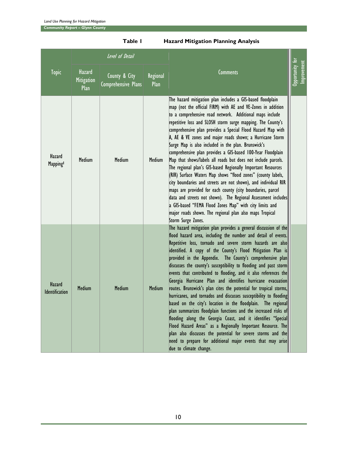*Community Report – Glynn County*

|                          |                              | Level of Detail                      |                  |                                                                                                                                                                                                                                                                                                                                                                                                                                                                                                                                                                                                                                                                                                                                                                                                                                                                                                                                                                                                                                                                                                    |                              |
|--------------------------|------------------------------|--------------------------------------|------------------|----------------------------------------------------------------------------------------------------------------------------------------------------------------------------------------------------------------------------------------------------------------------------------------------------------------------------------------------------------------------------------------------------------------------------------------------------------------------------------------------------------------------------------------------------------------------------------------------------------------------------------------------------------------------------------------------------------------------------------------------------------------------------------------------------------------------------------------------------------------------------------------------------------------------------------------------------------------------------------------------------------------------------------------------------------------------------------------------------|------------------------------|
| <b>Topic</b>             | Hazard<br>Mitigation<br>Plan | County & City<br>Comprehensive Plans | Regional<br>Plan | <b>Comments</b>                                                                                                                                                                                                                                                                                                                                                                                                                                                                                                                                                                                                                                                                                                                                                                                                                                                                                                                                                                                                                                                                                    | Opportunity for<br>provement |
| Hazard<br><b>Mapping</b> | <b>Medium</b>                | Medium                               | Medium           | The hazard mitigation plan includes a GIS-based floodplain<br>map (not the official FIRM) with AE and VE-Zones in addition<br>to a comprehensive road network. Additional maps include<br>repetitive loss and SLOSH storm surge mapping. The County's<br>comprehensive plan provides a Special Flood Hazard Map with<br>A, AE & VE zones and major roads shown; a Hurricane Storm<br>Surge Map is also included in the plan. Brunswick's<br>comprehensive plan provides a GIS-based 100-Year Floodplain<br>Map that shows/labels all roads but does not include parcels.<br>The regional plan's GIS-based Regionally Important Resources<br>(RIR) Surface Waters Map shows "flood zones" (county labels,<br>city boundaries and streets are not shown), and individual RIR<br>maps are provided for each county (city boundaries, parcel<br>data and streets not shown). The Regional Assessment includes<br>a GIS-based "FEMA Flood Zones Map" with city limits and<br>major roads shown. The regional plan also maps Tropical<br>Storm Surge Zones.                                              |                              |
| Hazard<br>Identification | <b>Medium</b>                | Medium                               | <b>Medium</b>    | The hazard mitigation plan provides a general discussion of the<br>flood hazard area, including the number and detail of events.<br>Repetitive loss, tornado and severe storm hazards are also<br>identified. A copy of the County's Flood Mitigation Plan is<br>provided in the Appendix. The County's comprehensive plan<br>discusses the county's susceptibility to flooding and past storm<br>events that contributed to flooding, and it also references the<br>Georgia Hurricane Plan and identifies hurricane evacuation<br>routes. Brunswick's plan cites the potential for tropical storms,<br>hurricanes, and tornados and discusses susceptibility to flooding<br>based on the city's location in the floodplain. The regional<br>plan summarizes floodplain functions and the increased risks of<br>flooding along the Georgia Coast, and it identifies "Special<br>Flood Hazard Areas" as a Regionally Important Resource. The<br>plan also discusses the potential for severe storms and the<br>need to prepare for additional major events that may arise<br>due to climate change. |                              |

**Table 1 Hazard Mitigation Planning Analysis**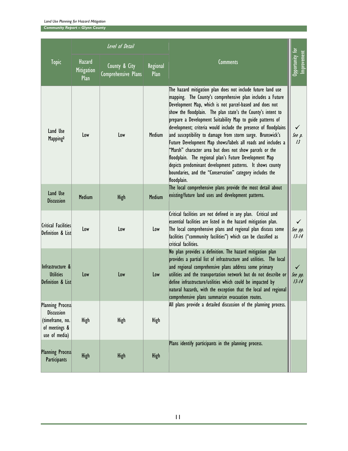*Community Report – Glynn County*

|                                                                                                   |                                     | Level of Detail                      |                  |                                                                                                                                                                                                                                                                                                                                                                                                                                                                                                                                                                                                                                                                                                                                                                                  |                                           |
|---------------------------------------------------------------------------------------------------|-------------------------------------|--------------------------------------|------------------|----------------------------------------------------------------------------------------------------------------------------------------------------------------------------------------------------------------------------------------------------------------------------------------------------------------------------------------------------------------------------------------------------------------------------------------------------------------------------------------------------------------------------------------------------------------------------------------------------------------------------------------------------------------------------------------------------------------------------------------------------------------------------------|-------------------------------------------|
| <b>Topic</b>                                                                                      | Hazard<br><b>Mitigation</b><br>Plan | County & City<br>Comprehensive Plans | Regional<br>Plan | Comments                                                                                                                                                                                                                                                                                                                                                                                                                                                                                                                                                                                                                                                                                                                                                                         | Opportunity for<br>Improvement            |
| Land Use<br>Mapping <sup>2</sup>                                                                  | Low                                 | Low                                  | Medium           | The hazard mitigation plan does not include future land use<br>mapping. The County's comprehensive plan includes a Future<br>Development Map, which is not parcel-based and does not<br>show the floodplain. The plan state's the County's intent to<br>prepare a Development Suitability Map to guide patterns of<br>development; criteria would include the presence of floodplains<br>and susceptibility to damage from storm surge. Brunswick's<br>Future Development Map shows/labels all roads and includes a<br>"Marsh" character area but does not show parcels or the<br>floodplain. The regional plan's Future Development Map<br>depicts predominant development patterns. It shows county<br>boundaries, and the "Conservation" category includes the<br>floodplain. | $\checkmark$<br>See p.<br>$\overline{13}$ |
| Land Use<br><b>Discussion</b>                                                                     | <b>Medium</b>                       | High                                 | <b>Medium</b>    | The local comprehensive plans provide the most detail about<br>existing/future land uses and development patterns.                                                                                                                                                                                                                                                                                                                                                                                                                                                                                                                                                                                                                                                               |                                           |
| Critical Facilities<br>Definition & List                                                          | Low                                 | Low                                  | Low              | Critical facilities are not defined in any plan. Critical and<br>essential facilities are listed in the hazard mitigation plan.<br>The local comprehensive plans and regional plan discuss some<br>facilities ("community facilities") which can be classified as<br>critical facilities.                                                                                                                                                                                                                                                                                                                                                                                                                                                                                        | $\checkmark$<br>See pp.<br>$13 - 14$      |
| Infrastructure &<br><b>Utilities</b><br>Definition & List                                         | Low                                 | Low                                  | Low              | No plan provides a definition. The hazard mitigation plan<br>provides a partial list of infrastructure and utilities. The local<br>and regional comprehensive plans address some primary<br>utilities and the transportation network but do not describe or<br>define infrastructure/utilities which could be impacted by<br>natural hazards, with the exception that the local and regional<br>comprehensive plans summarize evacuation routes.                                                                                                                                                                                                                                                                                                                                 | $\checkmark$<br>See pp.<br>$13 - 14$      |
| <b>Planning Process</b><br><b>Discussion</b><br>(timeframe, no.<br>of meetings &<br>use of media) | High                                | High                                 | High             | All plans provide a detailed discussion of the planning process.                                                                                                                                                                                                                                                                                                                                                                                                                                                                                                                                                                                                                                                                                                                 |                                           |
| <b>Planning Process</b><br>Participants                                                           | <b>High</b>                         | High                                 | <b>High</b>      | Plans identify participants in the planning process.                                                                                                                                                                                                                                                                                                                                                                                                                                                                                                                                                                                                                                                                                                                             |                                           |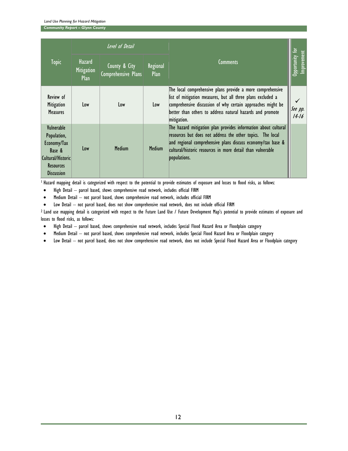*Community Report – Glynn County*

|                                                                                                                  |                                     | Level of Detail                      |                  |                                                                                                                                                                                                                                                                           |                                |
|------------------------------------------------------------------------------------------------------------------|-------------------------------------|--------------------------------------|------------------|---------------------------------------------------------------------------------------------------------------------------------------------------------------------------------------------------------------------------------------------------------------------------|--------------------------------|
| <b>Topic</b>                                                                                                     | Hazard<br><b>Mitigation</b><br>Plan | County & City<br>Comprehensive Plans | Regional<br>Plan | <b>Comments</b>                                                                                                                                                                                                                                                           | Opportunity for<br>Improvement |
| Review of<br>Mitigation<br><b>Measures</b>                                                                       | Low                                 | Low                                  | Low              | The local comprehensive plans provide a more comprehensive<br>list of mitigation measures, but all three plans excluded a<br>comprehensive discussion of why certain approaches might be<br>better than others to address natural hazards and promote<br>mitigation.      | See pp.<br>$14 - 16$           |
| Vulnerable<br>Population,<br>Economy/Tax<br>Base &<br>Cultural/Historic<br><b>Resources</b><br><b>Discussion</b> | Low                                 | <b>Medium</b>                        | <b>Medium</b>    | The hazard mitigation plan provides information about cultural<br>resources but does not address the other topics. The local<br>and regional comprehensive plans discuss economy/tax base &<br>cultural/historic resources in more detail than vulnerable<br>populations. |                                |

<sup>1</sup> Hazard mapping detail is categorized with respect to the potential to provide estimates of exposure and losses to flood risks, as follows:

- High Detail parcel based, shows comprehensive road network, includes official FIRM
- Medium Detail not parcel based, shows comprehensive road network, includes official FIRM
- Low Detail not parcel based, does not show comprehensive road network, does not include official FIRM

<sup>2</sup> Land use mapping detail is categorized with respect to the Future Land Use / Future Development Map's potential to provide estimates of exposure and losses to flood risks, as follows:

- High Detail parcel based, shows comprehensive road network, includes Special Flood Hazard Area or Floodplain category
- Medium Detail not parcel based, shows comprehensive road network, includes Special Flood Hazard Area or Floodplain category
- Low Detail not parcel based, does not show comprehensive road network, does not include Special Flood Hazard Area or Floodplain category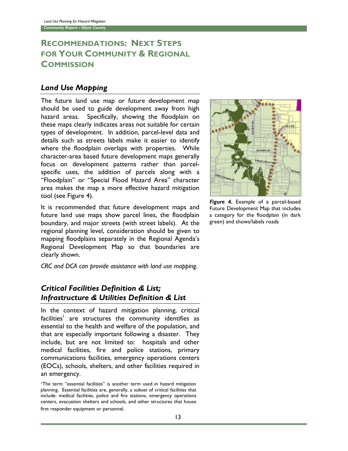# RECOMMENDATIONS: NEXT STEPS FOR YOUR COMMUNITY & REGIONAL **COMMISSION**

#### Land Use Mapping

The future land use map or future development map should be used to guide development away from high hazard areas. Specifically, showing the floodplain on these maps clearly indicates areas not suitable for certain types of development. In addition, parcel-level data and details such as streets labels make it easier to identify where the floodplain overlaps with properties. While character-area based future development maps generally focus on development patterns rather than parcelspecific uses, the addition of parcels along with a "Floodplain" or "Special Flood Hazard Area" character area makes the map a more effective hazard mitigation tool (see Figure 4).

It is recommended that future development maps and future land use maps show parcel lines, the floodplain boundary, and major streets (with street labels). At the regional planning level, consideration should be given to mapping floodplains separately in the Regional Agenda's Regional Development Map so that boundaries are clearly shown.

CRC and DCA can provide assistance with land use mapping.

# Critical Facilities Definition & List; Infrastructure & Utilities Definition & List

In the context of hazard mitigation planning, critical facilities<sup>1</sup> are structures the community identifies as essential to the health and welfare of the population, and that are especially important following a disaster. They include, but are not limited to: hospitals and other medical facilities, fire and police stations, primary communications facilities, emergency operations centers (EOCs), schools, shelters, and other facilities required in an emergency.

<sup>1</sup>The term "essential facilities" is another term used in hazard mitigation planning. Essential facilities are, generally, a subset of critical facilities that include: medical facilities, police and fire stations, emergency operations centers, evacuation shelters and schools, and other structures that house first responder equipment or personnel.



Figure 4. Example of a parcel-based Future Development Map that includes a category for the floodplain (in dark green) and shows/labels roads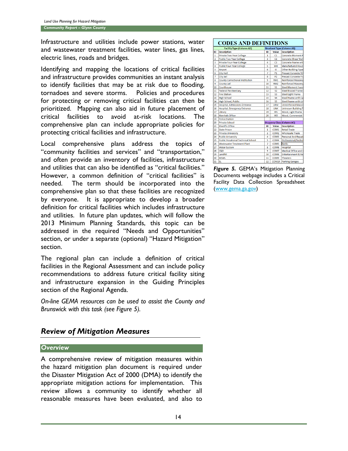Infrastructure and utilities include power stations, water and wastewater treatment facilities, water lines, gas lines, electric lines, roads and bridges.

Identifying and mapping the locations of critical facilities and infrastructure provides communities an instant analysis to identify facilities that may be at risk due to flooding, tornadoes and severe storms. Policies and procedures for protecting or removing critical facilities can then be prioritized. Mapping can also aid in future placement of critical facilities to avoid at-risk locations. The comprehensive plan can include appropriate policies for protecting critical facilities and infrastructure.

Local comprehensive plans address the topics of "community facilities and services" and "transportation," and often provide an inventory of facilities, infrastructure and utilities that can also be identified as "critical facilities." However, a common definition of "critical facilities" is needed. The term should be incorporated into the comprehensive plan so that these facilities are recognized by everyone. It is appropriate to develop a broader definition for critical facilities which includes infrastructure and utilities. In future plan updates, which will follow the 2013 Minimum Planning Standards, this topic can be addressed in the required "Needs and Opportunities" section, or under a separate (optional) "Hazard Mitigation" section.

The regional plan can include a definition of critical facilities in the Regional Assessment and can include policy recommendations to address future critical facility siting and infrastructure expansion in the Guiding Principles section of the Regional Agenda.

*On-line GEMA resources can be used to assist the County and Brunswick with this task (see Figure 5).*

# *Review of Mitigation Measures*

#### *Overview*

A comprehensive review of mitigation measures within the hazard mitigation plan document is required under the Disaster Mitigation Act of 2000 (DMA) to identify the appropriate mitigation actions for implementation. This review allows a community to identify whether all reasonable measures have been evaluated, and also to

#### **CODES AND DEFINITIONS**

|                | <b>Facility Type (Column AD)</b>          |                |                   | <b>Structural Type (Column AB)</b> |
|----------------|-------------------------------------------|----------------|-------------------|------------------------------------|
| ID             | <b>Description</b>                        | ID             | Value             | <b>Description</b>                 |
| 1              | Private Two-Year College                  | 1              | C1                | <b>Concrete Moment F</b>           |
| $\overline{2}$ | <b>Public Two-Year College</b>            | 3              | C <sub>2</sub>    | <b>Concrete Shear Wal</b>          |
| 3              | Private Four-Year College                 | 4              | C <sub>3</sub>    | <b>Concrete Frame witl</b>         |
| $\overline{a}$ | <b>Public Four-Year College</b>           | 5              | MH                | <b>Manufactured Hous</b>           |
| 5              | Airport                                   | 6              | Ō                 | <b>Other Building Type</b>         |
| 6              | <b>City Hall</b>                          | 7              | P <sub>1</sub>    | <b>Precast Concrete Til</b>        |
| 7              | <b>City Jail</b>                          | 8              | P <sub>2</sub>    | <b>Precast Concrete Fra</b>        |
| 8              | <b>County Correctional Institution</b>    | 9              | RM1               | <b>Reinforced Masonry</b>          |
| 9              | <b>County Jail</b>                        | 10             | <b>RM2</b>        | <b>Reinforced Masonry</b>          |
| 10             | Courthouse                                | 11             | S <sub>1</sub>    | <b>Steel Moment Fram</b>           |
| 11             | <b>Federal Penitentiarv</b>               | 12             | S <sub>2</sub>    | <b>Steel Braced Frame</b>          |
| 12             | <b>Fire Station</b>                       | 13             | S3                | <b>Steel Light Frame</b>           |
| 13             | <b>High School</b>                        | 15             | S <sub>4</sub>    | Steel Frame with Ca                |
| 14             | <b>High School, Public</b>                | 16             | S <sub>5</sub>    | Steel Frame with Un                |
| 15             | <b>Hospital, Admissions Entrance</b>      | 17             | URM               | <b>Unreinforced Masor</b>          |
| 16             | <b>Hospital, Emergency Entrance</b>       | 18             | <b>UNK</b>        | <b>Unknown Building T</b>          |
| 17             | Library                                   | 19             | W1                | Wood, Light Frame                  |
| 18             | <b>Marshals Office</b>                    | 20             | W <sub>2</sub>    | Wood, Commercial                   |
| 19             | <b>Police Station</b>                     |                |                   |                                    |
| 20             | <b>Private School</b>                     |                |                   | <b>Occpancy Class (Column AC)</b>  |
| 21             | <b>Sheriffs Office</b>                    | ID             | Value             | <b>Description</b>                 |
| 22             | <b>State Prison</b>                       | 1              | COM <sub>1</sub>  | <b>Retail Trade</b>                |
| 23             | <b>Private University</b>                 | $\overline{2}$ | COM <sub>2</sub>  | <b>Wholesale Trade</b>             |
| 24             | <b>Public University</b>                  | 4              | COM3              | Personal And Repair                |
| 25             | <b>Public Vocational Technical School</b> | 5              | COM4              | Professional/Techni                |
| 26             | <b>Wastewater Treatment Plant</b>         | 7              | COM5              | <b>Banks</b>                       |
| 27             | <b>Water System</b>                       | 8              | COM6              | Hospital                           |
| 28             | C&D                                       | 9              | COM7              | Medical Office and 0               |
| 29             | Landfill                                  | 10             | <b>COM8</b>       | <b>Entertainment &amp; Re</b>      |
| 30             | <b>MSWL</b>                               | 11             | COM9              | <b>Theaters</b>                    |
| 31             | <b>SL</b>                                 | 12             | COM <sub>10</sub> | <b>Parking Garages</b>             |

*Figure 5.* GEMA's Mitigation Planning Documents webpage includes a Critical Facility Data Collection Spreadsheet [\(www.gema.ga.gov\)](http://www.gema.ga.gov/)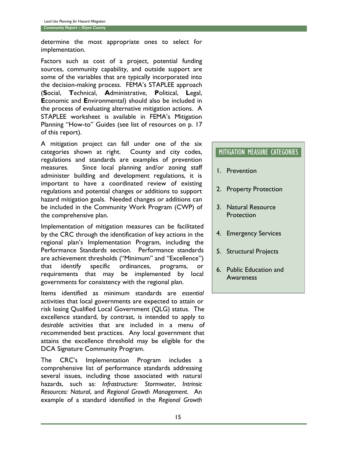determine the most appropriate ones to select for implementation.

Factors such as cost of a project, potential funding sources, community capability, and outside support are some of the variables that are typically incorporated into the decision-making process. FEMA's STAPLEE approach (**S**ocial, **T**echnical, **A**dministrative, **P**olitical, **L**egal, **E**conomic and **E**nvironmental) should also be included in the process of evaluating alternative mitigation actions. A STAPLEE worksheet is available in FEMA's Mitigation Planning "How-to" Guides (see list of resources on p. 17 of this report).

A mitigation project can fall under one of the six categories shown at right. County and city codes, regulations and standards are examples of prevention measures. Since local planning and/or zoning staff administer building and development regulations, it is important to have a coordinated review of existing regulations and potential changes or additions to support hazard mitigation goals. Needed changes or additions can be included in the Community Work Program (CWP) of the comprehensive plan.

Implementation of mitigation measures can be facilitated by the CRC through the identification of key actions in the regional plan's Implementation Program, including the Performance Standards section. Performance standards are achievement thresholds ("Minimum" and "Excellence") that identify specific ordinances, programs, or requirements that may be implemented by local governments for consistency with the regional plan.

Items identified as minimum standards are *essential* activities that local governments are expected to attain or risk losing Qualified Local Government (QLG) status. The excellence standard, by contrast, is intended to apply to *desirable* activities that are included in a menu of recommended best practices. Any local government that attains the excellence threshold may be eligible for the DCA Signature Community Program.

The CRC's Implementation Program includes comprehensive list of performance standards addressing several issues, including those associated with natural hazards, such as: *Infrastructure: Stormwater*, *Intrinsic Resources: Natural*, and *Regional Growth Management*. An example of a standard identified in the *Regional Growth* 

## MITIGATION MEASURE CATEGORIES

- 1. Prevention
- 2. Property Protection
- 3. Natural Resource **Protection**
- 4. Emergency Services
- 5. Structural Projects
- 6. Public Education and Awareness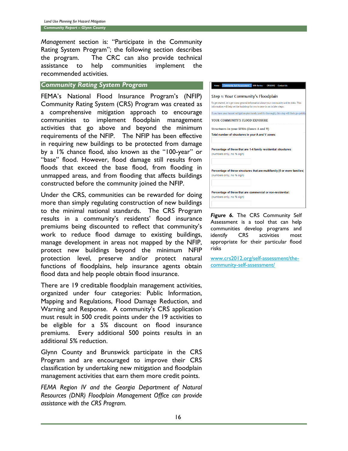*Management* section is: "Participate in the Community Rating System Program"; the following section describes the program. The CRC can also provide technical assistance to help communities implement the recommended activities.

#### *Community Rating System Program*

FEMA's National Flood Insurance Program's (NFIP) Community Rating System (CRS) Program was created as a comprehensive mitigation approach to encourage communities to implement floodplain management activities that go above and beyond the minimum requirements of the NFIP. The NFIP has been effective in requiring new buildings to be protected from damage by a 1% chance flood, also known as the "100-year" or "base" flood. However, flood damage still results from floods that exceed the base flood, from flooding in unmapped areas, and from flooding that affects buildings constructed before the community joined the NFIP.

Under the CRS, communities can be rewarded for doing more than simply regulating construction of new buildings to the minimal national standards. The CRS Program results in a community's residents' flood insurance premiums being discounted to reflect that community's work to reduce flood damage to existing buildings, manage development in areas not mapped by the NFIP, protect new buildings beyond the minimum NFIP protection level, preserve and/or protect natural functions of floodplains, help insurance agents obtain flood data and help people obtain flood insurance.

There are 19 creditable floodplain management activities, organized under four categories: Public Information, Mapping and Regulations, Flood Damage Reduction, and Warning and Response. A community's CRS application must result in 500 credit points under the 19 activities to be eligible for a 5% discount on flood insurance premiums. Every additional 500 points results in an additional 5% reduction.

Glynn County and Brunswick participate in the CRS Program and are encouraged to improve their CRS classification by undertaking new mitigation and floodplain management activities that earn them more credit points.

*FEMA Region IV and the Georgia Department of Natural Resources (DNR) Floodplain Management Office can provide assistance with the CRS Program.*

|                                         | To get started, let's get some general information about your community and its risks. This<br>information will help set the backdrop for you to zero-in on in later steps. |
|-----------------------------------------|-----------------------------------------------------------------------------------------------------------------------------------------------------------------------------|
|                                         | If you have your hazard mitigation plan handy (and it's thorough), this step will likely go quickly                                                                         |
| YOUR COMMUNITY'S FLOOD EXPOSURE         |                                                                                                                                                                             |
| Structures in your SFHA (Zones A and V) |                                                                                                                                                                             |
|                                         |                                                                                                                                                                             |
|                                         | Total number of structures in your A and V zones:                                                                                                                           |
|                                         |                                                                                                                                                                             |
|                                         | Percentage of these that are 1-4 family residential structures:                                                                                                             |
| (numbers only, no % sign)               |                                                                                                                                                                             |
|                                         |                                                                                                                                                                             |
|                                         | Percentage of these structures that are multifamily (5 or more families)                                                                                                    |
| (numbers only, no % sign)               |                                                                                                                                                                             |
|                                         |                                                                                                                                                                             |

*Figure 6.* The CRS Community Self Assessment is a tool that can help communities develop programs and identify CRS activities most appropriate for their particular flood risks

[www.crs2012.org/self-assessment/the](http://www.crs2012.org/self-assessment/the-community-self-assessment/)[community-self-assessment/](http://www.crs2012.org/self-assessment/the-community-self-assessment/)